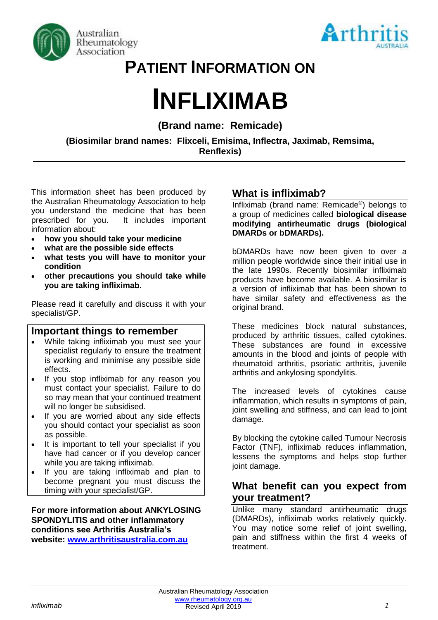



# **PATIENT INFORMATION ON**

# **INFLIXIMAB**

# **(Brand name: Remicade)**

**(Biosimilar brand names: Flixceli, Emisima, Inflectra, Jaximab, Remsima, Renflexis)**

This information sheet has been produced by the Australian Rheumatology Association to help you understand the medicine that has been prescribed for you. It includes important information about:

- **how you should take your medicine**
- **what are the possible side effects**
- **what tests you will have to monitor your condition**
- **other precautions you should take while you are taking infliximab.**

Please read it carefully and discuss it with your specialist/GP.

#### **Important things to remember**

- While taking infliximab you must see your specialist regularly to ensure the treatment is working and minimise any possible side effects.
- If you stop infliximab for any reason you must contact your specialist. Failure to do so may mean that your continued treatment will no longer be subsidised.
- If you are worried about any side effects you should contact your specialist as soon as possible.
- It is important to tell your specialist if you have had cancer or if you develop cancer while you are taking infliximab.
- If you are taking infliximab and plan to become pregnant you must discuss the timing with your specialist/GP.

#### **For more information about ANKYLOSING SPONDYLITIS and other inflammatory conditions see Arthritis Australia's website: [www.arthritisaustralia.com.au](http://www.arthritisaustralia.com.au/)**

# **What is infliximab?**

Infliximab (brand name: Remicade® ) belongs to a group of medicines called **biological disease modifying antirheumatic drugs (biological DMARDs or bDMARDs).** 

bDMARDs have now been given to over a million people worldwide since their initial use in the late 1990s. Recently biosimilar infliximab products have become available. A biosimilar is a version of infliximab that has been shown to have similar safety and effectiveness as the original brand.

These medicines block natural substances, produced by arthritic tissues, called cytokines. These substances are found in excessive amounts in the blood and joints of people with rheumatoid arthritis, psoriatic arthritis, juvenile arthritis and ankylosing spondylitis.

The increased levels of cytokines cause inflammation, which results in symptoms of pain, joint swelling and stiffness, and can lead to joint damage.

By blocking the cytokine called Tumour Necrosis Factor (TNF), infliximab reduces inflammation, lessens the symptoms and helps stop further joint damage.

# **What benefit can you expect from your treatment?**

Unlike many standard antirheumatic drugs (DMARDs), infliximab works relatively quickly. You may notice some relief of joint swelling. pain and stiffness within the first 4 weeks of treatment.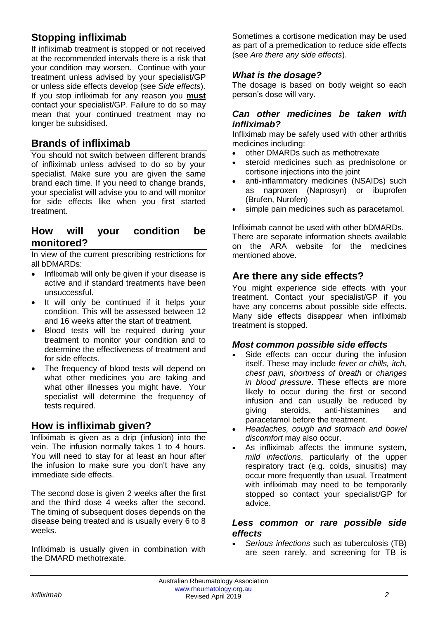# **Stopping infliximab**

If infliximab treatment is stopped or not received at the recommended intervals there is a risk that your condition may worsen. Continue with your treatment unless advised by your specialist/GP or unless side effects develop (see *Side effects*). If you stop infliximab for any reason you **must** contact your specialist/GP. Failure to do so may mean that your continued treatment may no longer be subsidised.

# **Brands of infliximab**

You should not switch between different brands of infliximab unless advised to do so by your specialist. Make sure you are given the same brand each time. If you need to change brands, your specialist will advise you to and will monitor for side effects like when you first started treatment.

# **How will your condition be monitored?**

In view of the current prescribing restrictions for all bDMARDs:

- Infliximab will only be given if your disease is active and if standard treatments have been unsuccessful.
- It will only be continued if it helps your condition. This will be assessed between 12 and 16 weeks after the start of treatment.
- Blood tests will be required during your treatment to monitor your condition and to determine the effectiveness of treatment and for side effects.
- The frequency of blood tests will depend on what other medicines you are taking and what other illnesses you might have. Your specialist will determine the frequency of tests required.

# **How is infliximab given?**

Infliximab is given as a drip (infusion) into the vein. The infusion normally takes 1 to 4 hours. You will need to stay for at least an hour after the infusion to make sure you don't have any immediate side effects.

The second dose is given 2 weeks after the first and the third dose 4 weeks after the second. The timing of subsequent doses depends on the disease being treated and is usually every 6 to 8 weeks.

Infliximab is usually given in combination with the DMARD methotrexate.

Sometimes a cortisone medication may be used as part of a premedication to reduce side effects (see *Are there any* s*ide effects*).

#### *What is the dosage?*

The dosage is based on body weight so each person's dose will vary.

#### *Can other medicines be taken with infliximab?*

Infliximab may be safely used with other arthritis medicines including:

- other DMARDs such as methotrexate
- steroid medicines such as prednisolone or cortisone injections into the joint
- anti-inflammatory medicines (NSAIDs) such as naproxen (Naprosyn) or ibuprofen (Brufen, Nurofen)
- simple pain medicines such as paracetamol.

Infliximab cannot be used with other bDMARDs. There are separate information sheets available on the ARA website for the medicines mentioned above.

# **Are there any side effects?**

You might experience side effects with your treatment. Contact your specialist/GP if you have any concerns about possible side effects. Many side effects disappear when infliximab treatment is stopped.

#### *Most common possible side effects*

- Side effects can occur during the infusion itself. These may include *fever or chills, itch, chest pain, shortness of breath* or *changes in blood pressure*. These effects are more likely to occur during the first or second infusion and can usually be reduced by giving steroids, anti-histamines and paracetamol before the treatment.
- *Headaches, cough and stomach and bowel discomfort* may also occur.
- As infliximab affects the immune system, *mild infections*, particularly of the upper respiratory tract (e.g. colds, sinusitis) may occur more frequently than usual. Treatment with infliximab may need to be temporarily stopped so contact your specialist/GP for advice.

#### *Less common or rare possible side effects*

• *Serious infections* such as tuberculosis (TB) are seen rarely, and screening for TB is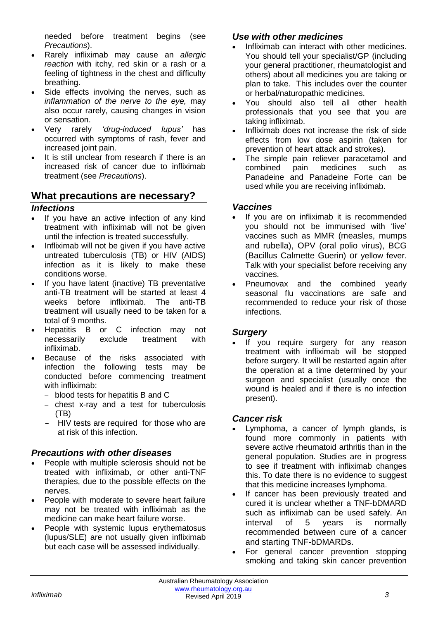needed before treatment begins (see *Precautions*).

- Rarely infliximab may cause an *allergic reaction* with itchy, red skin or a rash or a feeling of tightness in the chest and difficulty breathing.
- Side effects involving the nerves, such as *inflammation of the nerve to the eye,* may also occur rarely, causing changes in vision or sensation.
- Very rarely *'drug-induced lupus'* has occurred with symptoms of rash, fever and increased joint pain.
- It is still unclear from research if there is an increased risk of cancer due to infliximab treatment (see *Precautions*).

# **What precautions are necessary?**

#### *Infections*

- If you have an active infection of any kind treatment with infliximab will not be given until the infection is treated successfully.
- Infliximab will not be given if you have active untreated tuberculosis (TB) or HIV (AIDS) infection as it is likely to make these conditions worse.
- If you have latent (inactive) TB preventative anti-TB treatment will be started at least 4 weeks before infliximab. The anti-TB treatment will usually need to be taken for a total of 9 months.
- Hepatitis B or C infection may not necessarily exclude treatment with infliximab.
- Because of the risks associated with infection the following tests may be conducted before commencing treatment with infliximab:
	- − blood tests for hepatitis B and C
	- − chest x-ray and a test for tuberculosis (TB)
	- HIV tests are required for those who are at risk of this infection.

#### *Precautions with other diseases*

- People with multiple sclerosis should not be treated with infliximab, or other anti-TNF therapies, due to the possible effects on the nerves.
- People with moderate to severe heart failure may not be treated with infliximab as the medicine can make heart failure worse.
- People with systemic lupus erythematosus (lupus/SLE) are not usually given infliximab but each case will be assessed individually.

#### *Use with other medicines*

- Infliximab can interact with other medicines. You should tell your specialist/GP (including your general practitioner, rheumatologist and others) about all medicines you are taking or plan to take. This includes over the counter or herbal/naturopathic medicines.
- You should also tell all other health professionals that you see that you are taking infliximab.
- Infliximab does not increase the risk of side effects from low dose aspirin (taken for prevention of heart attack and strokes).
- The simple pain reliever paracetamol and combined pain medicines such as Panadeine and Panadeine Forte can be used while you are receiving infliximab.

#### *Vaccines*

- If you are on infliximab it is recommended you should not be immunised with 'live' vaccines such as MMR (measles, mumps and rubella), OPV (oral polio virus), BCG (Bacillus Calmette Guerin) or yellow fever. Talk with your specialist before receiving any vaccines.
- Pneumovax and the combined yearly seasonal flu vaccinations are safe and recommended to reduce your risk of those infections.

#### *Surgery*

If you require surgery for any reason treatment with infliximab will be stopped before surgery. It will be restarted again after the operation at a time determined by your surgeon and specialist (usually once the wound is healed and if there is no infection present).

#### *Cancer risk*

- Lymphoma, a cancer of lymph glands, is found more commonly in patients with severe active rheumatoid arthritis than in the general population. Studies are in progress to see if treatment with infliximab changes this. To date there is no evidence to suggest that this medicine increases lymphoma.
- If cancer has been previously treated and cured it is unclear whether a TNF-bDMARD such as infliximab can be used safely. An interval of 5 years is normally recommended between cure of a cancer and starting TNF-bDMARDs.
- For general cancer prevention stopping smoking and taking skin cancer prevention